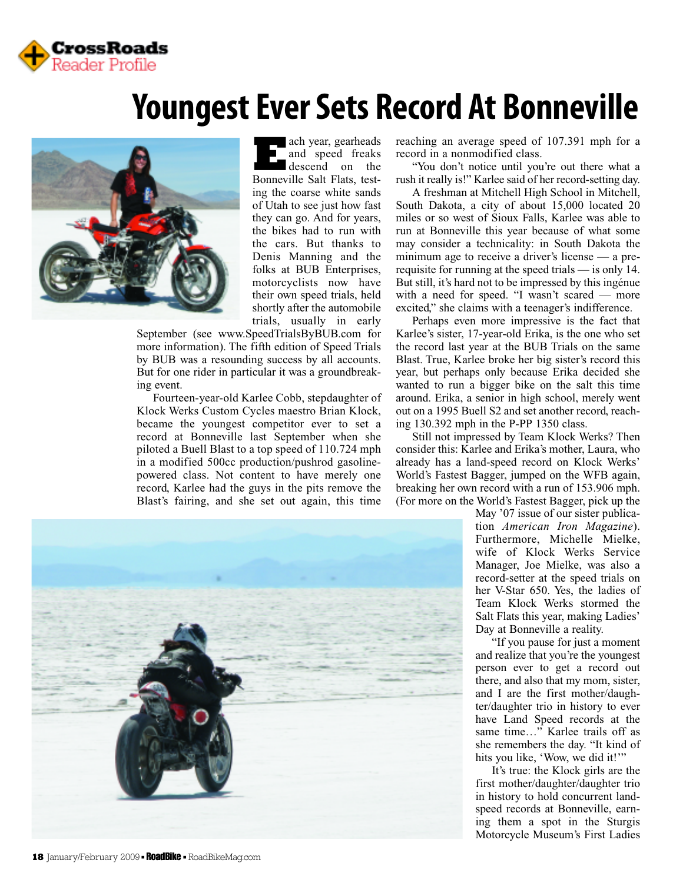

## **Youngest Ever Sets Record At Bonneville**



**E**ach year, gearheads and speed freaks descend on the Bonneville Salt Flats, testing the coarse white sands of Utah to see just how fast they can go. And for years, the bikes had to run with the cars. But thanks to Denis Manning and the folks at BUB Enterprises, motorcyclists now have their own speed trials, held shortly after the automobile trials, usually in early

September (see www.SpeedTrialsByBUB.com for more information). The fifth edition of Speed Trials by BUB was a resounding success by all accounts. But for one rider in particular it was a groundbreaking event.

Fourteen-year-old Karlee Cobb, stepdaughter of Klock Werks Custom Cycles maestro Brian Klock, became the youngest competitor ever to set a record at Bonneville last September when she piloted a Buell Blast to a top speed of 110.724 mph in a modified 500cc production/pushrod gasolinepowered class. Not content to have merely one record, Karlee had the guys in the pits remove the Blast's fairing, and she set out again, this time



reaching an average speed of 107.391 mph for a record in a nonmodified class.

"You don't notice until you're out there what a rush it really is!" Karlee said of her record-setting day.

A freshman at Mitchell High School in Mitchell, South Dakota, a city of about 15,000 located 20 miles or so west of Sioux Falls, Karlee was able to run at Bonneville this year because of what some may consider a technicality: in South Dakota the minimum age to receive a driver's license — a prerequisite for running at the speed trials — is only 14. But still, it's hard not to be impressed by this ingénue with a need for speed. "I wasn't scared — more excited," she claims with a teenager's indifference.

Perhaps even more impressive is the fact that Karlee's sister, 17-year-old Erika, is the one who set the record last year at the BUB Trials on the same Blast. True, Karlee broke her big sister's record this year, but perhaps only because Erika decided she wanted to run a bigger bike on the salt this time around. Erika, a senior in high school, merely went out on a 1995 Buell S2 and set another record, reaching 130.392 mph in the P-PP 1350 class.

Still not impressed by Team Klock Werks? Then consider this: Karlee and Erika's mother, Laura, who already has a land-speed record on Klock Werks' World's Fastest Bagger, jumped on the WFB again, breaking her own record with a run of 153.906 mph. (For more on the World's Fastest Bagger, pick up the

May '07 issue of our sister publication *American Iron Magazine*). Furthermore, Michelle Mielke, wife of Klock Werks Service Manager, Joe Mielke, was also a record-setter at the speed trials on her V-Star 650. Yes, the ladies of Team Klock Werks stormed the Salt Flats this year, making Ladies' Day at Bonneville a reality.

"If you pause for just a moment and realize that you're the youngest person ever to get a record out there, and also that my mom, sister, and I are the first mother/daughter/daughter trio in history to ever have Land Speed records at the same time…" Karlee trails off as she remembers the day. "It kind of hits you like, 'Wow, we did it!'"

It's true: the Klock girls are the first mother/daughter/daughter trio in history to hold concurrent landspeed records at Bonneville, earning them a spot in the Sturgis Motorcycle Museum's First Ladies